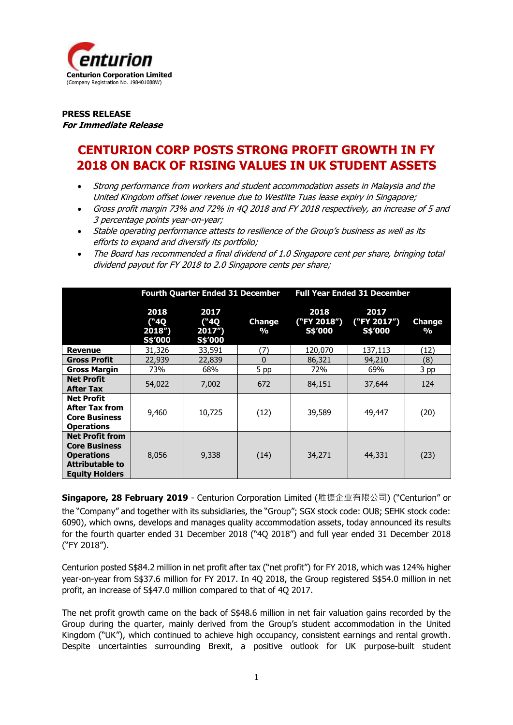

**PRESS RELEASE For Immediate Release**

# **CENTURION CORP POSTS STRONG PROFIT GROWTH IN FY 2018 ON BACK OF RISING VALUES IN UK STUDENT ASSETS**

- Strong performance from workers and student accommodation assets in Malaysia and the United Kingdom offset lower revenue due to Westlite Tuas lease expiry in Singapore;
- Gross profit margin 73% and 72% in 4Q 2018 and FY 2018 respectively, an increase of 5 and 3 percentage points year-on-year;
- Stable operating performance attests to resilience of the Group's business as well as its efforts to expand and diversify its portfolio;
- The Board has recommended a final dividend of 1.0 Singapore cent per share, bringing total dividend payout for FY 2018 to 2.0 Singapore cents per share;

|                                                                                                                        | <b>Fourth Quarter Ended 31 December</b> |                                     | <b>Full Year Ended 31 December</b> |                                |                                |                         |
|------------------------------------------------------------------------------------------------------------------------|-----------------------------------------|-------------------------------------|------------------------------------|--------------------------------|--------------------------------|-------------------------|
|                                                                                                                        | 2018<br>$(^4Q)$<br>2018"<br>S\$'000     | 2017<br>$(^4Q)$<br>2017'<br>S\$'000 | <b>Change</b><br>$\frac{0}{0}$     | 2018<br>("FY 2018")<br>S\$'000 | 2017<br>("FY 2017")<br>S\$'000 | Change<br>$\frac{0}{0}$ |
| <b>Revenue</b>                                                                                                         | 31,326                                  | 33,591                              | (7)                                | 120,070                        | 137,113                        | (12)                    |
| <b>Gross Profit</b>                                                                                                    | 22,939                                  | 22,839                              | $\Omega$                           | 86,321                         | 94,210                         | (8)                     |
| <b>Gross Margin</b>                                                                                                    | 73%                                     | 68%                                 | 5 pp                               | 72%                            | 69%                            | 3 <sub>p</sub> p        |
| <b>Net Profit</b><br><b>After Tax</b>                                                                                  | 54,022                                  | 7,002                               | 672                                | 84,151                         | 37,644                         | 124                     |
| <b>Net Profit</b><br><b>After Tax from</b><br><b>Core Business</b><br><b>Operations</b>                                | 9,460                                   | 10,725                              | (12)                               | 39,589                         | 49,447                         | (20)                    |
| <b>Net Profit from</b><br><b>Core Business</b><br><b>Operations</b><br><b>Attributable to</b><br><b>Equity Holders</b> | 8,056                                   | 9,338                               | (14)                               | 34,271                         | 44,331                         | (23)                    |

**Singapore, 28 February 2019** - Centurion Corporation Limited (胜捷企业有限公司) ("Centurion" or the "Company" and together with its subsidiaries, the "Group"; SGX stock code: OU8; SEHK stock code: 6090), which owns, develops and manages quality accommodation assets, today announced its results for the fourth quarter ended 31 December 2018 ("4Q 2018") and full year ended 31 December 2018 ("FY 2018").

Centurion posted S\$84.2 million in net profit after tax ("net profit") for FY 2018, which was 124% higher year-on-year from S\$37.6 million for FY 2017. In 4Q 2018, the Group registered S\$54.0 million in net profit, an increase of S\$47.0 million compared to that of 4Q 2017.

The net profit growth came on the back of S\$48.6 million in net fair valuation gains recorded by the Group during the quarter, mainly derived from the Group's student accommodation in the United Kingdom ("UK"), which continued to achieve high occupancy, consistent earnings and rental growth. Despite uncertainties surrounding Brexit, a positive outlook for UK purpose-built student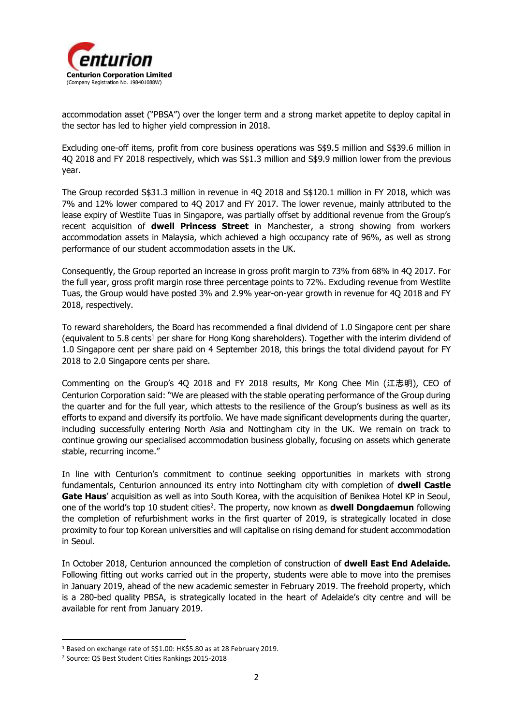

accommodation asset ("PBSA") over the longer term and a strong market appetite to deploy capital in the sector has led to higher yield compression in 2018.

Excluding one-off items, profit from core business operations was S\$9.5 million and S\$39.6 million in 4Q 2018 and FY 2018 respectively, which was S\$1.3 million and S\$9.9 million lower from the previous year.

The Group recorded S\$31.3 million in revenue in 4Q 2018 and S\$120.1 million in FY 2018, which was 7% and 12% lower compared to 4Q 2017 and FY 2017. The lower revenue, mainly attributed to the lease expiry of Westlite Tuas in Singapore, was partially offset by additional revenue from the Group's recent acquisition of **dwell Princess Street** in Manchester, a strong showing from workers accommodation assets in Malaysia, which achieved a high occupancy rate of 96%, as well as strong performance of our student accommodation assets in the UK.

Consequently, the Group reported an increase in gross profit margin to 73% from 68% in 4Q 2017. For the full year, gross profit margin rose three percentage points to 72%. Excluding revenue from Westlite Tuas, the Group would have posted 3% and 2.9% year-on-year growth in revenue for 4Q 2018 and FY 2018, respectively.

To reward shareholders, the Board has recommended a final dividend of 1.0 Singapore cent per share (equivalent to 5.8 cents<sup>1</sup> per share for Hong Kong shareholders). Together with the interim dividend of 1.0 Singapore cent per share paid on 4 September 2018, this brings the total dividend payout for FY 2018 to 2.0 Singapore cents per share.

Commenting on the Group's 4Q 2018 and FY 2018 results, Mr Kong Chee Min (江志明), CEO of Centurion Corporation said: "We are pleased with the stable operating performance of the Group during the quarter and for the full year, which attests to the resilience of the Group's business as well as its efforts to expand and diversify its portfolio. We have made significant developments during the quarter, including successfully entering North Asia and Nottingham city in the UK. We remain on track to continue growing our specialised accommodation business globally, focusing on assets which generate stable, recurring income."

In line with Centurion's commitment to continue seeking opportunities in markets with strong fundamentals, Centurion announced its entry into Nottingham city with completion of **dwell Castle Gate Haus**' acquisition as well as into South Korea, with the acquisition of Benikea Hotel KP in Seoul, one of the world's top 10 student cities<sup>2</sup>. The property, now known as **dwell Dongdaemun** following the completion of refurbishment works in the first quarter of 2019, is strategically located in close proximity to four top Korean universities and will capitalise on rising demand for student accommodation in Seoul.

In October 2018, Centurion announced the completion of construction of **dwell East End Adelaide.**  Following fitting out works carried out in the property, students were able to move into the premises in January 2019, ahead of the new academic semester in February 2019. The freehold property, which is a 280-bed quality PBSA, is strategically located in the heart of Adelaide's city centre and will be available for rent from January 2019.

**.** 

<sup>1</sup> Based on exchange rate of S\$1.00: HK\$5.80 as at 28 February 2019.

<sup>2</sup> Source: QS Best Student Cities Rankings 2015-2018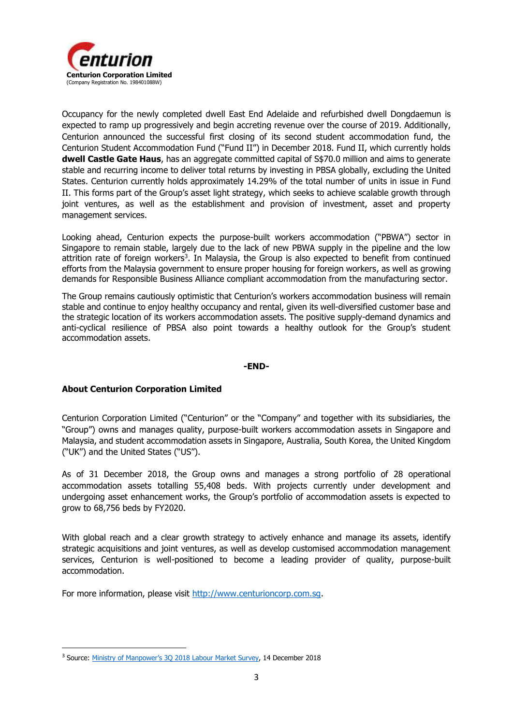

Occupancy for the newly completed dwell East End Adelaide and refurbished dwell Dongdaemun is expected to ramp up progressively and begin accreting revenue over the course of 2019. Additionally, Centurion announced the successful first closing of its second student accommodation fund, the Centurion Student Accommodation Fund ("Fund II") in December 2018. Fund II, which currently holds **dwell Castle Gate Haus**, has an aggregate committed capital of S\$70.0 million and aims to generate stable and recurring income to deliver total returns by investing in PBSA globally, excluding the United States. Centurion currently holds approximately 14.29% of the total number of units in issue in Fund II. This forms part of the Group's asset light strategy, which seeks to achieve scalable growth through joint ventures, as well as the establishment and provision of investment, asset and property management services.

Looking ahead, Centurion expects the purpose-built workers accommodation ("PBWA") sector in Singapore to remain stable, largely due to the lack of new PBWA supply in the pipeline and the low attrition rate of foreign workers<sup>3</sup>. In Malaysia, the Group is also expected to benefit from continued efforts from the Malaysia government to ensure proper housing for foreign workers, as well as growing demands for Responsible Business Alliance compliant accommodation from the manufacturing sector.

The Group remains cautiously optimistic that Centurion's workers accommodation business will remain stable and continue to enjoy healthy occupancy and rental, given its well-diversified customer base and the strategic location of its workers accommodation assets. The positive supply-demand dynamics and anti-cyclical resilience of PBSA also point towards a healthy outlook for the Group's student accommodation assets.

### **-END-**

### **About Centurion Corporation Limited**

**.** 

Centurion Corporation Limited ("Centurion" or the "Company" and together with its subsidiaries, the "Group") owns and manages quality, purpose-built workers accommodation assets in Singapore and Malaysia, and student accommodation assets in Singapore, Australia, South Korea, the United Kingdom ("UK") and the United States ("US").

As of 31 December 2018, the Group owns and manages a strong portfolio of 28 operational accommodation assets totalling 55,408 beds. With projects currently under development and undergoing asset enhancement works, the Group's portfolio of accommodation assets is expected to grow to 68,756 beds by FY2020.

With global reach and a clear growth strategy to actively enhance and manage its assets, identify strategic acquisitions and joint ventures, as well as develop customised accommodation management services, Centurion is well-positioned to become a leading provider of quality, purpose-built accommodation.

For more information, please visit [http://www.centurioncorp.com.sg.](http://www.centurioncorp.com.sg/)

<sup>&</sup>lt;sup>3</sup> Source: Ministry of Manpower's 30 2018 Labour Market Survey, 14 December 2018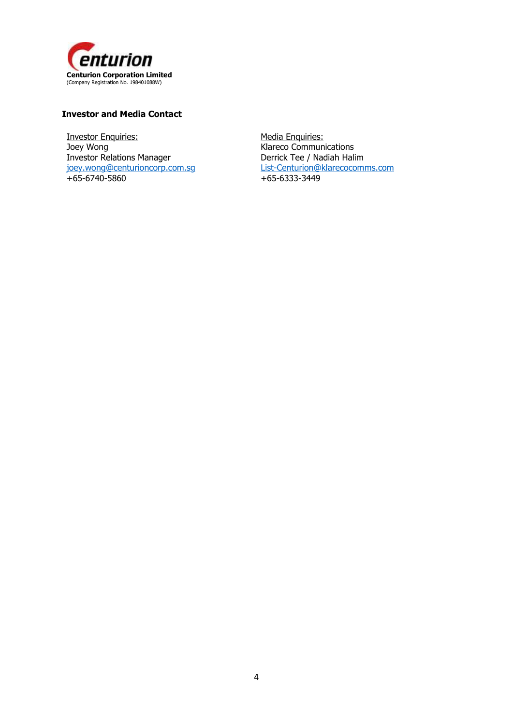

# **Investor and Media Contact**

Investor Enquiries: Joey Wong Investor Relations Manager [joey.wong@centurioncorp.com.sg](mailto:joey.wong@centurioncorp.com.sg) +65-6740-5860

Media Enquiries: Klareco Communications Derrick Tee / Nadiah Halim [List-Centurion@klarecocomms.com](mailto:List-Centurion@klarecocomms.com) +65-6333-3449